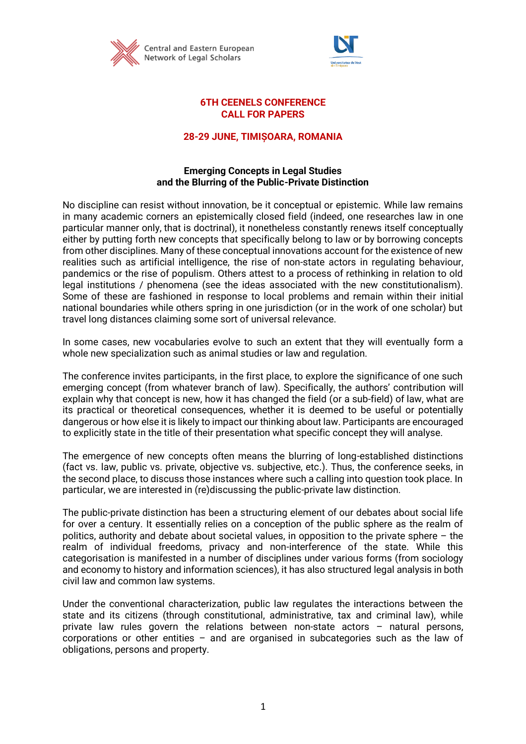



### **6TH CEENELS CONFERENCE CALL FOR PAPERS**

# **28-29 JUNE, TIMIȘOARA, ROMANIA**

## **Emerging Concepts in Legal Studies and the Blurring of the Public-Private Distinction**

No discipline can resist without innovation, be it conceptual or epistemic. While law remains in many academic corners an epistemically closed field (indeed, one researches law in one particular manner only, that is doctrinal), it nonetheless constantly renews itself conceptually either by putting forth new concepts that specifically belong to law or by borrowing concepts from other disciplines. Many of these conceptual innovations account for the existence of new realities such as artificial intelligence, the rise of non-state actors in regulating behaviour, pandemics or the rise of populism. Others attest to a process of rethinking in relation to old legal institutions / phenomena (see the ideas associated with the new constitutionalism). Some of these are fashioned in response to local problems and remain within their initial national boundaries while others spring in one jurisdiction (or in the work of one scholar) but travel long distances claiming some sort of universal relevance.

In some cases, new vocabularies evolve to such an extent that they will eventually form a whole new specialization such as animal studies or law and regulation.

The conference invites participants, in the first place, to explore the significance of one such emerging concept (from whatever branch of law). Specifically, the authors' contribution will explain why that concept is new, how it has changed the field (or a sub-field) of law, what are its practical or theoretical consequences, whether it is deemed to be useful or potentially dangerous or how else it is likely to impact our thinking about law. Participants are encouraged to explicitly state in the title of their presentation what specific concept they will analyse.

The emergence of new concepts often means the blurring of long-established distinctions (fact vs. law, public vs. private, objective vs. subjective, etc.). Thus, the conference seeks, in the second place, to discuss those instances where such a calling into question took place. In particular, we are interested in (re)discussing the public-private law distinction.

The public-private distinction has been a structuring element of our debates about social life for over a century. It essentially relies on a conception of the public sphere as the realm of politics, authority and debate about societal values, in opposition to the private sphere – the realm of individual freedoms, privacy and non-interference of the state. While this categorisation is manifested in a number of disciplines under various forms (from sociology and economy to history and information sciences), it has also structured legal analysis in both civil law and common law systems.

Under the conventional characterization, public law regulates the interactions between the state and its citizens (through constitutional, administrative, tax and criminal law), while private law rules govern the relations between non-state actors – natural persons, corporations or other entities – and are organised in subcategories such as the law of obligations, persons and property.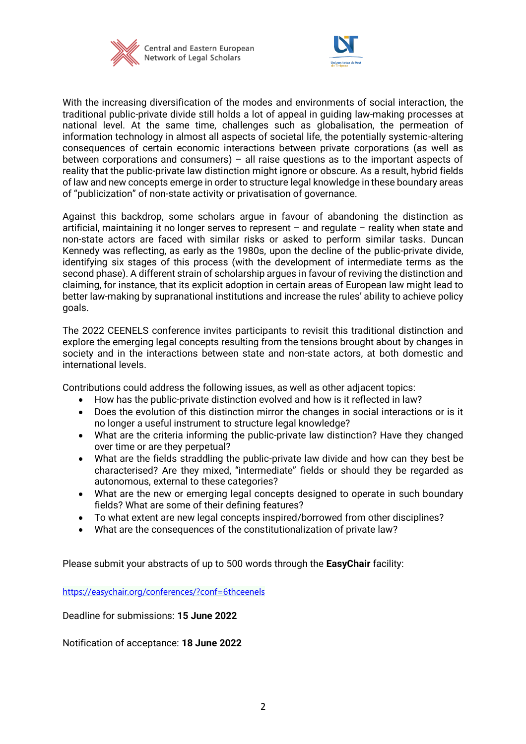



With the increasing diversification of the modes and environments of social interaction, the traditional public-private divide still holds a lot of appeal in guiding law-making processes at national level. At the same time, challenges such as globalisation, the permeation of information technology in almost all aspects of societal life, the potentially systemic-altering consequences of certain economic interactions between private corporations (as well as between corporations and consumers) – all raise questions as to the important aspects of reality that the public-private law distinction might ignore or obscure. As a result, hybrid fields of law and new concepts emerge in order to structure legal knowledge in these boundary areas of "publicization" of non-state activity or privatisation of governance.

Against this backdrop, some scholars argue in favour of abandoning the distinction as artificial, maintaining it no longer serves to represent – and regulate – reality when state and non-state actors are faced with similar risks or asked to perform similar tasks. Duncan Kennedy was reflecting, as early as the 1980s, upon the decline of the public-private divide, identifying six stages of this process (with the development of intermediate terms as the second phase). A different strain of scholarship argues in favour of reviving the distinction and claiming, for instance, that its explicit adoption in certain areas of European law might lead to better law-making by supranational institutions and increase the rules' ability to achieve policy goals.

The 2022 CEENELS conference invites participants to revisit this traditional distinction and explore the emerging legal concepts resulting from the tensions brought about by changes in society and in the interactions between state and non-state actors, at both domestic and international levels.

Contributions could address the following issues, as well as other adjacent topics:

- How has the public-private distinction evolved and how is it reflected in law?
- Does the evolution of this distinction mirror the changes in social interactions or is it no longer a useful instrument to structure legal knowledge?
- What are the criteria informing the public-private law distinction? Have they changed over time or are they perpetual?
- What are the fields straddling the public-private law divide and how can they best be characterised? Are they mixed, "intermediate" fields or should they be regarded as autonomous, external to these categories?
- What are the new or emerging legal concepts designed to operate in such boundary fields? What are some of their defining features?
- To what extent are new legal concepts inspired/borrowed from other disciplines?
- What are the consequences of the constitutionalization of private law?

Please submit your abstracts of up to 500 words through the **EasyChair** facility:

<https://easychair.org/conferences/?conf=6thceenels>

Deadline for submissions: **15 June 2022**

Notification of acceptance: **18 June 2022**